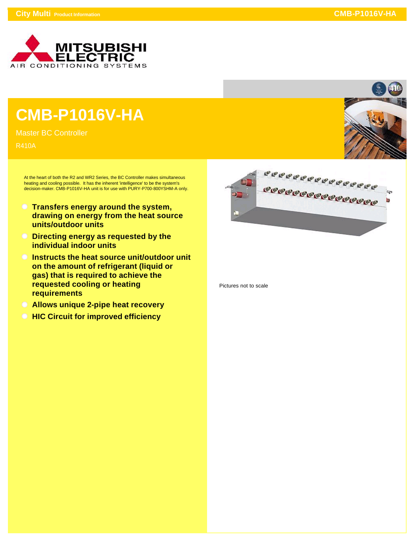

## **CMB-P1016V-HA**

Master BC Controller

R410A

At the heart of both the R2 and WR2 Series, the BC Controller makes simultaneous heating and cooling possible. It has the inherent 'intelligence' to be the system's decision-maker. CMB-P1016V-HA unit is for use with PURY-P700-800YSHM-A only.

- **Transfers energy around the system, drawing on energy from the heat source units/outdoor units**
- **Directing energy as requested by the individual indoor units**
- **Instructs the heat source unit/outdoor unit on the amount of refrigerant (liquid or gas) that is required to achieve the requested cooling or heating requirements**
- **Allows unique 2-pipe heat recovery**
- *<b>HIC Circuit for improved efficiency*



Pictures not to scale